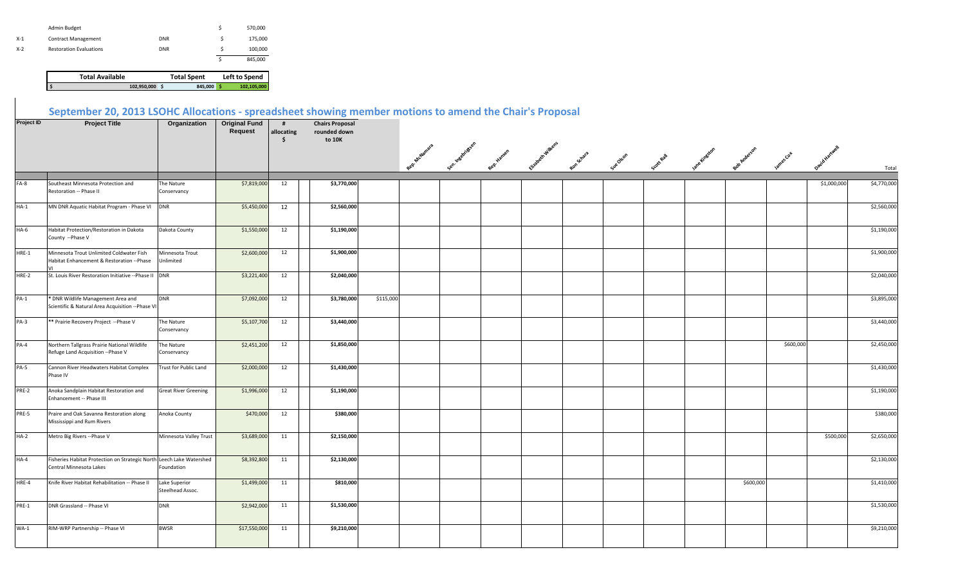|       | Admin Budget                   |            | 570,000 |
|-------|--------------------------------|------------|---------|
| $X-1$ | <b>Contract Management</b>     | <b>DNR</b> | 175,000 |
| $X-2$ | <b>Restoration Evaluations</b> | <b>DNR</b> | 100,000 |
|       |                                |            | 845,000 |

**Total Available Total Spent Left to Spend**<br>102,950,000 \$ 845,000 **\$** 102,105,000  **\$ 102,950,000 \$ 845,000 \$ 102,105,000** 

## **September 20, 2013 LSOHC Allocations - spreadsheet showing member motions to amend the Chair's Proposal**

| Project ID | <b>Project Title</b>                                                                            | Organization                      | <b>Original Fund</b><br>Request | #<br>allocating<br>Ŝ. | <b>Chairs Proposal</b><br>rounded down<br>to 10K |           |               |               |               |                 |           |                                   |  |                    |                 |             |             |
|------------|-------------------------------------------------------------------------------------------------|-----------------------------------|---------------------------------|-----------------------|--------------------------------------------------|-----------|---------------|---------------|---------------|-----------------|-----------|-----------------------------------|--|--------------------|-----------------|-------------|-------------|
|            |                                                                                                 |                                   |                                 |                       |                                                  |           | Rep. McJamara | · Insemiddeen | <b>Hansen</b> | izabeth wilken. | nn Schara | sue descriptions in the forest of |  | <b>20 Anderson</b> | <b>Ames Cot</b> |             | Total       |
|            |                                                                                                 |                                   | \$7,819,000                     | 12                    | \$3,770,000                                      |           |               |               |               |                 |           |                                   |  |                    |                 | \$1,000,000 | \$4,770,000 |
| $FA-8$     | Southeast Minnesota Protection and<br>Restoration -- Phase II                                   | The Nature<br>Conservancy         |                                 |                       |                                                  |           |               |               |               |                 |           |                                   |  |                    |                 |             |             |
| $HA-1$     | MN DNR Aquatic Habitat Program - Phase VI                                                       | <b>DNR</b>                        | \$5,450,000                     | 12                    | \$2,560,000                                      |           |               |               |               |                 |           |                                   |  |                    |                 |             | \$2,560,000 |
| $HA-6$     | Habitat Protection/Restoration in Dakota<br>County -- Phase V                                   | Dakota County                     | \$1,550,000                     | 12                    | \$1,190,000                                      |           |               |               |               |                 |           |                                   |  |                    |                 |             | \$1,190,000 |
| HRE-1      | Minnesota Trout Unlimited Coldwater Fish<br>Habitat Enhancement & Restoration --Phase           | Minnesota Trout<br>Unlimited      | \$2,600,000                     | 12                    | \$1,900,000                                      |           |               |               |               |                 |           |                                   |  |                    |                 |             | \$1,900,000 |
| HRE-2      | St. Louis River Restoration Initiative -- Phase II DNR                                          |                                   | \$3,221,400                     | 12                    | \$2,040,000                                      |           |               |               |               |                 |           |                                   |  |                    |                 |             | \$2,040,000 |
| $PA-1$     | * DNR Wildlife Management Area and<br>Scientific & Natural Area Acquisition -- Phase VI         | <b>DNR</b>                        | \$7,092,000                     | 12                    | \$3,780,000                                      | \$115,000 |               |               |               |                 |           |                                   |  |                    |                 |             | \$3,895,000 |
| $PA-3$     | ** Prairie Recovery Project --Phase V                                                           | The Nature<br>Conservancy         | \$5,107,700                     | 12                    | \$3,440,000                                      |           |               |               |               |                 |           |                                   |  |                    |                 |             | \$3,440,000 |
| $PA-4$     | Northern Tallgrass Prairie National Wildlife<br>Refuge Land Acquisition -- Phase V              | The Nature<br>Conservancy         | \$2,451,200                     | 12                    | \$1,850,000                                      |           |               |               |               |                 |           |                                   |  |                    | \$600,000       |             | \$2,450,000 |
| PA-5       | Cannon River Headwaters Habitat Complex<br>Phase IV                                             | Trust for Public Land             | \$2,000,000                     | 12                    | \$1,430,000                                      |           |               |               |               |                 |           |                                   |  |                    |                 |             | \$1,430,000 |
| PRE-2      | Anoka Sandplain Habitat Restoration and<br>Enhancement -- Phase III                             | <b>Great River Greening</b>       | \$1,996,000                     | 12                    | \$1,190,000                                      |           |               |               |               |                 |           |                                   |  |                    |                 |             | \$1,190,000 |
| PRE-5      | Praire and Oak Savanna Restoration along<br>Mississippi and Rum Rivers                          | Anoka County                      | \$470,000                       | 12                    | \$380,000                                        |           |               |               |               |                 |           |                                   |  |                    |                 |             | \$380,000   |
| $HA-2$     | Metro Big Rivers -- Phase V                                                                     | Minnesota Valley Trust            | \$3,689,000                     | 11                    | \$2,150,000                                      |           |               |               |               |                 |           |                                   |  |                    |                 | \$500,000   | \$2,650,000 |
| $HA-4$     | Fisheries Habitat Protection on Strategic North Leech Lake Watershed<br>Central Minnesota Lakes | Foundation                        | \$8,392,800                     | 11                    | \$2,130,000                                      |           |               |               |               |                 |           |                                   |  |                    |                 |             | \$2,130,000 |
| HRE-4      | Knife River Habitat Rehabilitation -- Phase II                                                  | Lake Superior<br>Steelhead Assoc. | \$1,499,000                     | 11                    | \$810,000                                        |           |               |               |               |                 |           |                                   |  | \$600,000          |                 |             | \$1,410,000 |
| PRE-1      | DNR Grassland -- Phase VI                                                                       | <b>DNR</b>                        | \$2,942,000                     | 11                    | \$1,530,000                                      |           |               |               |               |                 |           |                                   |  |                    |                 |             | \$1,530,000 |
| $WA-1$     | RIM-WRP Partnership -- Phase VI                                                                 | <b>BWSR</b>                       | \$17,550,000                    | 11                    | \$9,210,000                                      |           |               |               |               |                 |           |                                   |  |                    |                 |             | \$9,210,000 |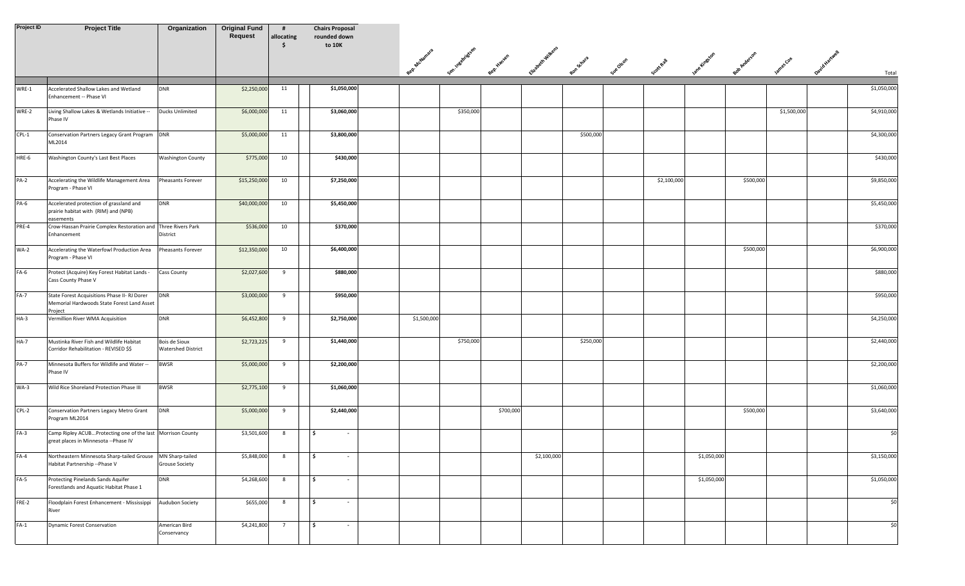| Project ID  | <b>Project Title</b>                                                                                  | Organization                               | <b>Original Fund</b><br>Request | #<br>allocating<br>S. | <b>Chairs Proposal</b><br>rounded down<br>to 10K |               |                  |           |             |           |                                                                                  |             |           |             |             |
|-------------|-------------------------------------------------------------------------------------------------------|--------------------------------------------|---------------------------------|-----------------------|--------------------------------------------------|---------------|------------------|-----------|-------------|-----------|----------------------------------------------------------------------------------|-------------|-----------|-------------|-------------|
|             |                                                                                                       |                                            |                                 |                       |                                                  | Rep. Malamaia | con insertifican | o Hansen  |             |           | Europein experience and control control and protection and protection of the cot |             |           |             | Total       |
|             |                                                                                                       |                                            |                                 |                       |                                                  |               |                  |           |             |           |                                                                                  |             |           |             |             |
| WRE-1       | Accelerated Shallow Lakes and Wetland<br>Enhancement -- Phase VI                                      | <b>DNR</b>                                 | \$2,250,000                     | 11                    | \$1,050,000                                      |               |                  |           |             |           |                                                                                  |             |           |             | \$1,050,000 |
| WRE-2       | Living Shallow Lakes & Wetlands Initiative --<br>Phase IV                                             | <b>Ducks Unlimited</b>                     | \$6,000,000                     | 11                    | \$3,060,000                                      |               | \$350,000        |           |             |           |                                                                                  |             |           | \$1,500,000 | \$4,910,000 |
| $CPL-1$     | Conservation Partners Legacy Grant Program DNR<br>ML2014                                              |                                            | \$5,000,000                     | 11                    | \$3,800,000                                      |               |                  |           |             | \$500,000 |                                                                                  |             |           |             | \$4,300,000 |
| HRE-6       | Washington County's Last Best Places                                                                  | <b>Washington County</b>                   | \$775,000                       | 10                    | \$430,000                                        |               |                  |           |             |           |                                                                                  |             |           |             | \$430,000   |
| $PA-2$      | Accelerating the Wildlife Management Area<br>Program - Phase VI                                       | Pheasants Forever                          | \$15,250,000                    | 10                    | \$7,250,000                                      |               |                  |           |             |           | \$2,100,000                                                                      |             | \$500,000 |             | \$9,850,000 |
| PA-6        | Accelerated protection of grassland and<br>prairie habitat with (RIM) and (NPB)                       | <b>DNR</b>                                 | \$40,000,000                    | 10                    | \$5,450,000                                      |               |                  |           |             |           |                                                                                  |             |           |             | \$5,450,000 |
| PRE-4       | easements<br>Crow-Hassan Prairie Complex Restoration and Three Rivers Park<br>Enhancement             | District                                   | \$536,000                       | 10                    | \$370,000                                        |               |                  |           |             |           |                                                                                  |             |           |             | \$370,000   |
| <b>WA-2</b> | Accelerating the Waterfowl Production Area<br>Program - Phase VI                                      | Pheasants Forever                          | \$12,350,000                    | 10                    | \$6,400,000                                      |               |                  |           |             |           |                                                                                  |             | \$500,000 |             | \$6,900,000 |
| FA-6        | Protect (Acquire) Key Forest Habitat Lands -<br>Cass County Phase V                                   | Cass County                                | \$2,027,600                     | 9                     | \$880,000                                        |               |                  |           |             |           |                                                                                  |             |           |             | \$880,000   |
| $FA-7$      | State Forest Acquisitions Phase II- RJ Dorer<br>Memorial Hardwoods State Forest Land Asset<br>Project | <b>DNR</b>                                 | \$3,000,000                     | 9                     | \$950,000                                        |               |                  |           |             |           |                                                                                  |             |           |             | \$950,000   |
| $HA-3$      | Vermillion River WMA Acquisition                                                                      | <b>DNR</b>                                 | \$6,452,800                     | 9                     | \$2,750,000                                      | \$1,500,000   |                  |           |             |           |                                                                                  |             |           |             | \$4,250,000 |
| $HA-7$      | Mustinka River Fish and Wildlife Habitat<br>Corridor Rehabilitation - REVISED \$\$                    | Bois de Sioux<br><b>Watershed District</b> | \$2,723,225                     | 9                     | \$1,440,000                                      |               | \$750,000        |           |             | \$250,000 |                                                                                  |             |           |             | \$2,440,000 |
| <b>PA-7</b> | Minnesota Buffers for Wildlife and Water<br>Phase IV                                                  | <b>BWSR</b>                                | \$5,000,000                     | 9                     | \$2,200,000                                      |               |                  |           |             |           |                                                                                  |             |           |             | \$2,200,000 |
| $WA-3$      | Wild Rice Shoreland Protection Phase III                                                              | <b>BWSR</b>                                | \$2,775,100                     | 9                     | \$1,060,000                                      |               |                  |           |             |           |                                                                                  |             |           |             | \$1,060,000 |
| $CPL-2$     | Conservation Partners Legacy Metro Grant<br>Program ML2014                                            | <b>DNR</b>                                 | \$5,000,000                     | 9                     | \$2,440,000                                      |               |                  | \$700,000 |             |           |                                                                                  |             | \$500,000 |             | \$3,640,000 |
| $FA-3$      | Camp Ripley ACUBProtecting one of the last Morrison County<br>great places in Minnesota --Phase IV    |                                            | \$3,501,600                     | 8                     | \$ ا<br>$\sim$                                   |               |                  |           |             |           |                                                                                  |             |           |             | \$0         |
| $FA-4$      | Northeastern Minnesota Sharp-tailed Grouse MN Sharp-tailed<br>Habitat Partnership -- Phase V          | <b>Grouse Society</b>                      | \$5,848,000                     | 8                     | l \$<br>$\sim$                                   |               |                  |           | \$2,100,000 |           |                                                                                  | \$1,050,000 |           |             | \$3,150,000 |
| $FA-5$      | Protecting Pinelands Sands Aquifer<br>Forestlands and Aquatic Habitat Phase 1                         | <b>DNR</b>                                 | \$4,268,600                     | 8                     | ۱\$<br>$\sim$                                    |               |                  |           |             |           |                                                                                  | \$1,050,000 |           |             | \$1,050,000 |
| FRE-2       | Floodplain Forest Enhancement - Mississippi<br>River                                                  | Audubon Society                            | \$655,000                       | 8                     | Ŝ.<br>$\sim$                                     |               |                  |           |             |           |                                                                                  |             |           |             | \$0         |
| $FA-1$      | <b>Dynamic Forest Conservation</b>                                                                    | American Bird<br>Conservancy               | \$4,241,800                     | $\overline{7}$        | - Ś<br>$\sim$                                    |               |                  |           |             |           |                                                                                  |             |           |             | \$0         |